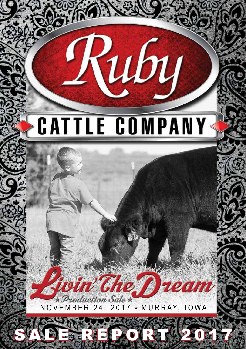# **CATTLE COMPANY**

Қиву

roduction Sale $\,\star\,$  $NOVEMBER 24, 2017 * MURRAY, IOWA$ 

SADE REPORT 2017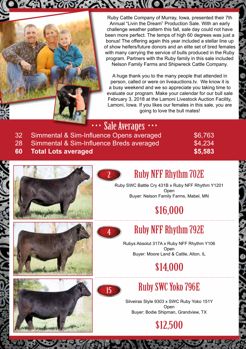

Ruby Cattle Company of Murray, Iowa, presented their 7th Annual "Livin the Dream" Production Sale. With an early challenge weather pattern this fall, sale day could not have been more perfect. The temps of high 60 degrees was just a bonus! The offering again this year included a stellar line up of show heifers/future donors and an elite set of bred females with many carrying the service of bulls produced in the Ruby program. Partners with the Ruby family in this sale included Nelson Family Farms and Shipwreck Cattle Company.

WORE

A huge thank you to the many people that attended in person, called or were on liveauctions.tv. We know it is a busy weekend and we so appreciate you taking time to evaluate our program. Make your calendar for our bull sale February 3, 2018 at the Lamoni Livestock Auction Facility, Lamoni, Iowa. If you likes our females in this sale, you are going to love the bull mates!

Sale Averages

- 32 Simmental & Sim-Influence Opens averaged \$6,763
- 28 Simmental & Sim-Influence Breds averaged \$4,234
- 

# **60 Total Lots averaged \$5,583**

### Ruby NFF Rhythm 702E

Ruby SWC Battle Cry 431B x Ruby NFF Rhythm Y1201 **Open** Buyer: Nelson Family Farms, Mabel, MN

# \$16,000



2

# Ruby NFF Rhythm 792E

Rubys Absolut 317A x Ruby NFF Rhythm Y106 Open Buyer: Moore Land & Cattle, Alton, IL

# \$14,000



# Ruby SWC Yoko 796E

Silveiras Style 9303 x SWC Ruby Yoko 151Y **Open** Buyer: Bodie Shipman, Grandview, TX



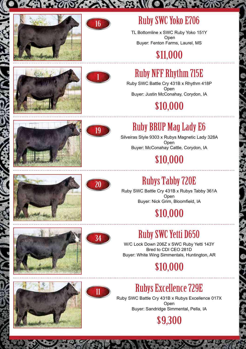



 $N:3:$ 

#### Ruby SWC Yoko E706

TL Bottomline x SWC Ruby Yoko 151Y Open Buyer: Fenton Farms, Laurel, MS

#### \$11,000





### Ruby NFF Rhythm 715E

Ruby SWC Battle Cry 431B x Rhythm 418P Open Buyer: Justin McConahay, Corydon, IA

# \$10,000





### Ruby BRUP Mag Lady E6

Silveiras Style 9303 x Rubys Magnetic Lady 328A Open Buyer: McConahay Cattle, Corydon, IA

# \$10,000



# Rubys Tabby 720E

Ruby SWC Battle Cry 431B x Rubys Tabby 361A Open Buyer: Nick Grim, Bloomfield, IA

# \$10,000





20

## Ruby SWC Yetti D650

W/C Lock Down 206Z x SWC Ruby Yetti 143Y Bred to CDI CEO 281D Buyer: White Wing Simmentals, Huntington, AR

# \$10,000





# Rubys Excellence 729E

Ruby SWC Battle Cry 431B x Rubys Excellence 017X Open Buyer: Sandridge Simmental, Pella, IA